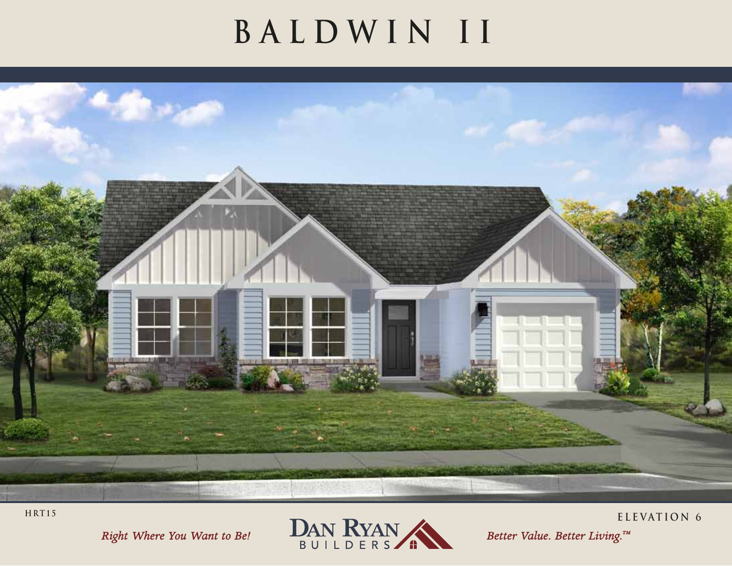## **BALDWIN II**



HRT15





ELEVATION 6

Better Value. Better Living.™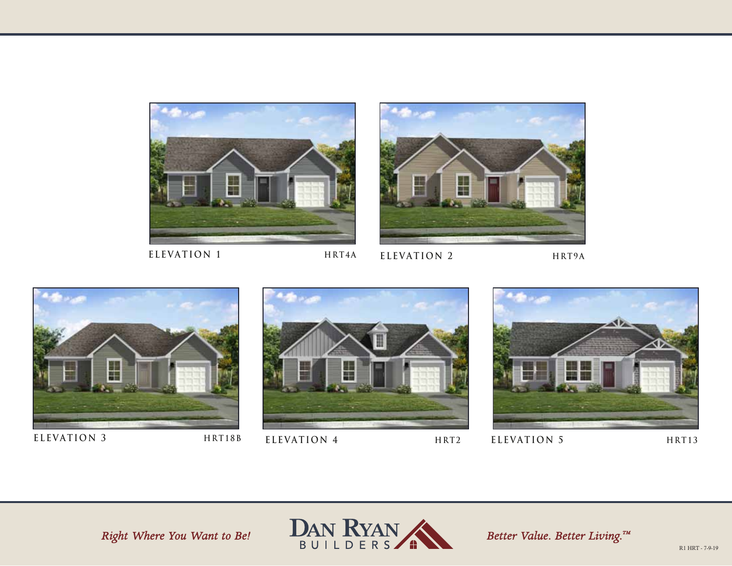

















Better Value. Better Living.<sup>TM</sup>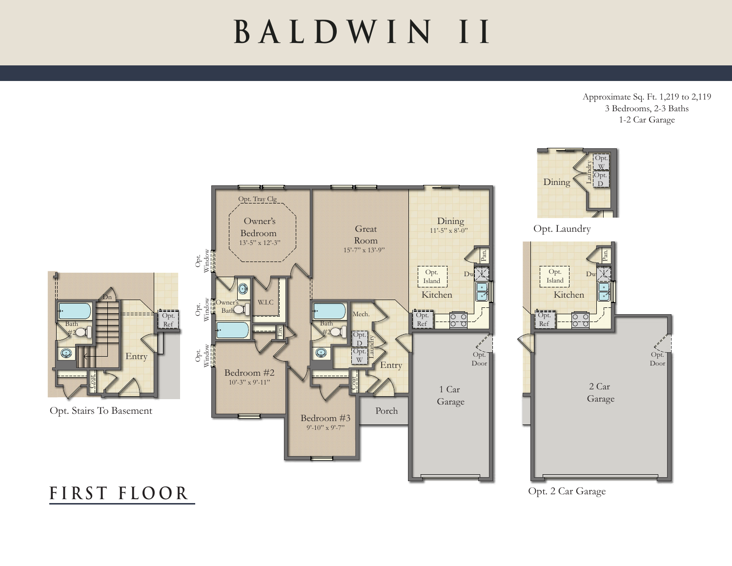## **BALDWIN II**

Approximate Sq. Ft. 1,219 to 2,119 3 Bedrooms, 2-3 Baths 1-2 Car Garage



**F I R ST F L O O R**

Opt. 2 Car Garage